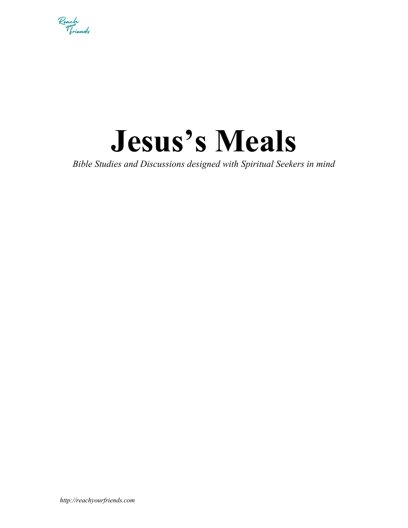

# **Jesus's Meals**

*Bible Studies and Discussions designed with Spiritual Seekers in mind*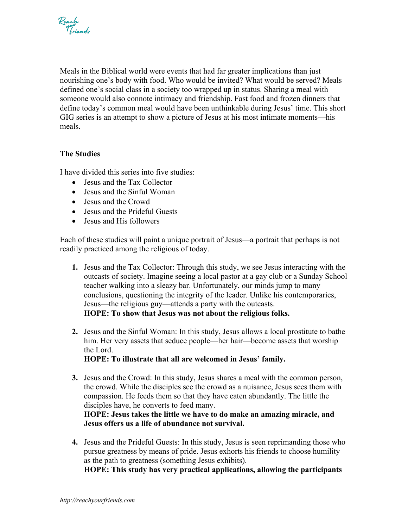

Meals in the Biblical world were events that had far greater implications than just nourishing one's body with food. Who would be invited? What would be served? Meals defined one's social class in a society too wrapped up in status. Sharing a meal with someone would also connote intimacy and friendship. Fast food and frozen dinners that define today's common meal would have been unthinkable during Jesus' time. This short GIG series is an attempt to show a picture of Jesus at his most intimate moments—his meals.

# **The Studies**

I have divided this series into five studies:

- Jesus and the Tax Collector
- Jesus and the Sinful Woman
- Jesus and the Crowd
- Jesus and the Prideful Guests
- Jesus and His followers

Each of these studies will paint a unique portrait of Jesus—a portrait that perhaps is not readily practiced among the religious of today.

- **1.** Jesus and the Tax Collector: Through this study, we see Jesus interacting with the outcasts of society. Imagine seeing a local pastor at a gay club or a Sunday School teacher walking into a sleazy bar. Unfortunately, our minds jump to many conclusions, questioning the integrity of the leader. Unlike his contemporaries, Jesus—the religious guy—attends a party with the outcasts. **HOPE: To show that Jesus was not about the religious folks.**
- **2.** Jesus and the Sinful Woman: In this study, Jesus allows a local prostitute to bathe him. Her very assets that seduce people—her hair—become assets that worship the Lord.

**HOPE: To illustrate that all are welcomed in Jesus' family.**

- **3.** Jesus and the Crowd: In this study, Jesus shares a meal with the common person, the crowd. While the disciples see the crowd as a nuisance, Jesus sees them with compassion. He feeds them so that they have eaten abundantly. The little the disciples have, he converts to feed many. **HOPE: Jesus takes the little we have to do make an amazing miracle, and Jesus offers us a life of abundance not survival.**
- **4.** Jesus and the Prideful Guests: In this study, Jesus is seen reprimanding those who pursue greatness by means of pride. Jesus exhorts his friends to choose humility as the path to greatness (something Jesus exhibits).

**HOPE: This study has very practical applications, allowing the participants**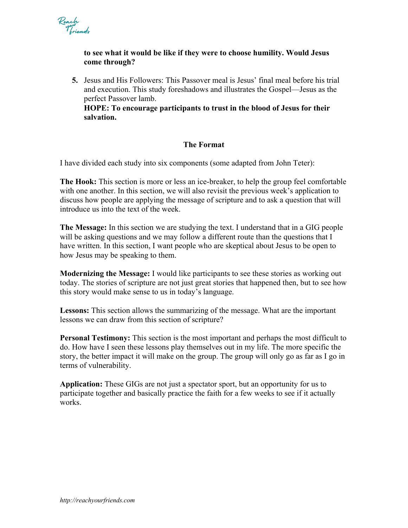

# **to see what it would be like if they were to choose humility. Would Jesus come through?**

**5.** Jesus and His Followers: This Passover meal is Jesus' final meal before his trial and execution. This study foreshadows and illustrates the Gospel—Jesus as the perfect Passover lamb.

**HOPE: To encourage participants to trust in the blood of Jesus for their salvation.**

# **The Format**

I have divided each study into six components (some adapted from John Teter):

**The Hook:** This section is more or less an ice-breaker, to help the group feel comfortable with one another. In this section, we will also revisit the previous week's application to discuss how people are applying the message of scripture and to ask a question that will introduce us into the text of the week.

**The Message:** In this section we are studying the text. I understand that in a GIG people will be asking questions and we may follow a different route than the questions that I have written. In this section, I want people who are skeptical about Jesus to be open to how Jesus may be speaking to them.

**Modernizing the Message:** I would like participants to see these stories as working out today. The stories of scripture are not just great stories that happened then, but to see how this story would make sense to us in today's language.

**Lessons:** This section allows the summarizing of the message. What are the important lessons we can draw from this section of scripture?

**Personal Testimony:** This section is the most important and perhaps the most difficult to do. How have I seen these lessons play themselves out in my life. The more specific the story, the better impact it will make on the group. The group will only go as far as I go in terms of vulnerability.

**Application:** These GIGs are not just a spectator sport, but an opportunity for us to participate together and basically practice the faith for a few weeks to see if it actually works.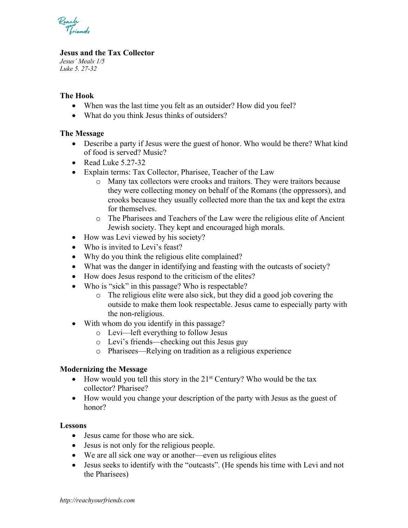Reach<br>Voicendr

# **Jesus and the Tax Collector**

*Jesus' Meals 1/5 Luke 5. 27-32*

# **The Hook**

- When was the last time you felt as an outsider? How did you feel?
- What do you think Jesus thinks of outsiders?

## **The Message**

- Describe a party if Jesus were the guest of honor. Who would be there? What kind of food is served? Music?
- Read Luke 5.27-32
- Explain terms: Tax Collector, Pharisee, Teacher of the Law
	- o Many tax collectors were crooks and traitors. They were traitors because they were collecting money on behalf of the Romans (the oppressors), and crooks because they usually collected more than the tax and kept the extra for themselves.
	- o The Pharisees and Teachers of the Law were the religious elite of Ancient Jewish society. They kept and encouraged high morals.
- How was Levi viewed by his society?
- Who is invited to Levi's feast?
- Why do you think the religious elite complained?
- What was the danger in identifying and feasting with the outcasts of society?
- How does Jesus respond to the criticism of the elites?
- Who is "sick" in this passage? Who is respectable?
	- o The religious elite were also sick, but they did a good job covering the outside to make them look respectable. Jesus came to especially party with the non-religious.
- With whom do you identify in this passage?
	- o Levi—left everything to follow Jesus
	- o Levi's friends—checking out this Jesus guy
	- o Pharisees—Relying on tradition as a religious experience

#### **Modernizing the Message**

- How would you tell this story in the  $21<sup>st</sup>$  Century? Who would be the tax collector? Pharisee?
- How would you change your description of the party with Jesus as the guest of honor?

#### **Lessons**

- Jesus came for those who are sick.
- Jesus is not only for the religious people.
- We are all sick one way or another—even us religious elites
- Jesus seeks to identify with the "outcasts". (He spends his time with Levi and not the Pharisees)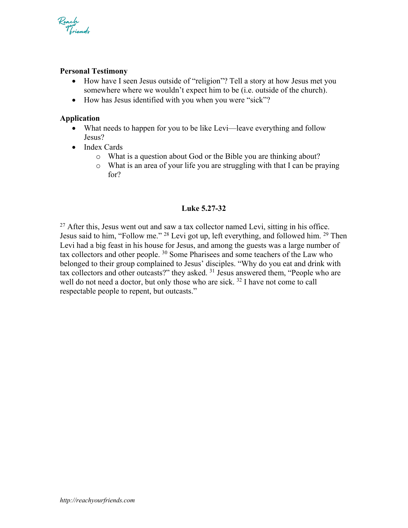

## **Personal Testimony**

- How have I seen Jesus outside of "religion"? Tell a story at how Jesus met you somewhere where we wouldn't expect him to be (i.e. outside of the church).
- How has Jesus identified with you when you were "sick"?

## **Application**

- What needs to happen for you to be like Levi—leave everything and follow Jesus?
- Index Cards
	- o What is a question about God or the Bible you are thinking about?
	- o What is an area of your life you are struggling with that I can be praying for?

#### **Luke 5.27-32**

 $27$  After this, Jesus went out and saw a tax collector named Levi, sitting in his office. Jesus said to him, "Follow me." 28 Levi got up, left everything, and followed him. 29 Then Levi had a big feast in his house for Jesus, and among the guests was a large number of tax collectors and other people.  $30$  Some Pharisees and some teachers of the Law who belonged to their group complained to Jesus' disciples. "Why do you eat and drink with tax collectors and other outcasts?" they asked. 31 Jesus answered them, "People who are well do not need a doctor, but only those who are sick. <sup>32</sup> I have not come to call respectable people to repent, but outcasts."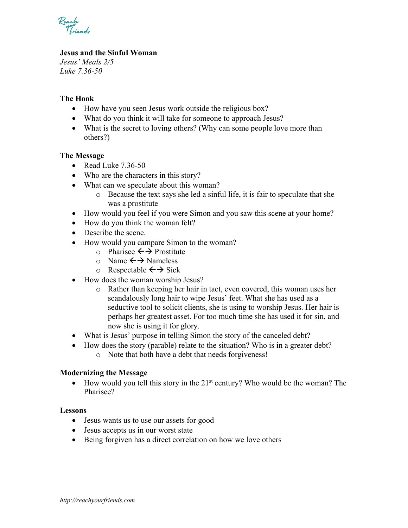Reach<br>Voicendr

# **Jesus and the Sinful Woman**

*Jesus' Meals 2/5 Luke 7.36-50*

# **The Hook**

- How have you seen Jesus work outside the religious box?
- What do you think it will take for someone to approach Jesus?
- What is the secret to loving others? (Why can some people love more than others?)

#### **The Message**

- Read Luke 7.36-50
- Who are the characters in this story?
- What can we speculate about this woman?
	- o Because the text says she led a sinful life, it is fair to speculate that she was a prostitute
- How would you feel if you were Simon and you saw this scene at your home?
- How do you think the woman felt?
- Describe the scene.
- How would you campare Simon to the woman?
	- o Pharisee  $\leftrightarrow$  Prostitute
	- $\circ$  Nameless
	- $\circ$  Respectable  $\leftrightarrow$  Sick
- How does the woman worship Jesus?
	- o Rather than keeping her hair in tact, even covered, this woman uses her scandalously long hair to wipe Jesus' feet. What she has used as a seductive tool to solicit clients, she is using to worship Jesus. Her hair is perhaps her greatest asset. For too much time she has used it for sin, and now she is using it for glory.
- What is Jesus' purpose in telling Simon the story of the canceled debt?
- How does the story (parable) relate to the situation? Who is in a greater debt?
	- o Note that both have a debt that needs forgiveness!

#### **Modernizing the Message**

• How would you tell this story in the  $21<sup>st</sup>$  century? Who would be the woman? The Pharisee?

#### **Lessons**

- Jesus wants us to use our assets for good
- Jesus accepts us in our worst state
- Being forgiven has a direct correlation on how we love others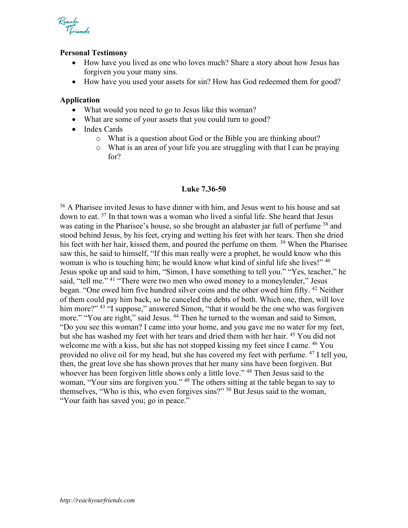

#### **Personal Testimony**

- How have you lived as one who loves much? Share a story about how Jesus has forgiven you your many sins.
- How have you used your assets for sin? How has God redeemed them for good?

#### **Application**

- What would you need to go to Jesus like this woman?
- What are some of your assets that you could turn to good?
- Index Cards
	- o What is a question about God or the Bible you are thinking about?
	- o What is an area of your life you are struggling with that I can be praying for?

#### **Luke 7.36-50**

 $36$  A Pharisee invited Jesus to have dinner with him, and Jesus went to his house and sat down to eat. 37 In that town was a woman who lived a sinful life. She heard that Jesus was eating in the Pharisee's house, so she brought an alabaster jar full of perfume <sup>38</sup> and stood behind Jesus, by his feet, crying and wetting his feet with her tears. Then she dried his feet with her hair, kissed them, and poured the perfume on them. <sup>39</sup> When the Pharisee saw this, he said to himself, "If this man really were a prophet, he would know who this woman is who is touching him; he would know what kind of sinful life she lives!" <sup>40</sup> Jesus spoke up and said to him, "Simon, I have something to tell you." "Yes, teacher," he said, "tell me." <sup>41</sup> "There were two men who owed money to a moneylender," Jesus began. "One owed him five hundred silver coins and the other owed him fifty. <sup>42</sup> Neither of them could pay him back, so he canceled the debts of both. Which one, then, will love him more?" <sup>43</sup> "I suppose," answered Simon, "that it would be the one who was forgiven more." "You are right," said Jesus. <sup>44</sup> Then he turned to the woman and said to Simon, "Do you see this woman? I came into your home, and you gave me no water for my feet, but she has washed my feet with her tears and dried them with her hair. 45 You did not welcome me with a kiss, but she has not stopped kissing my feet since I came. <sup>46</sup> You provided no olive oil for my head, but she has covered my feet with perfume. <sup>47</sup> I tell you, then, the great love she has shown proves that her many sins have been forgiven. But whoever has been forgiven little shows only a little love."<sup>48</sup> Then Jesus said to the woman, "Your sins are forgiven you." 49 The others sitting at the table began to say to themselves, "Who is this, who even forgives sins?" 50 But Jesus said to the woman, "Your faith has saved you; go in peace."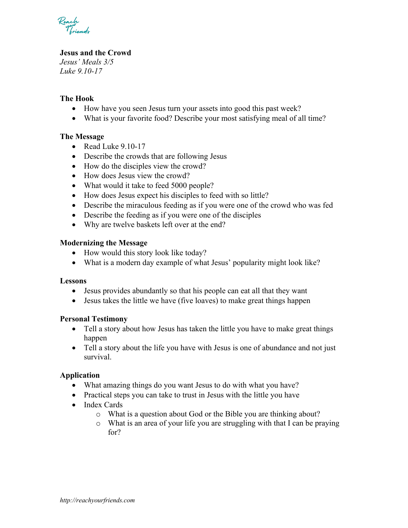Reach<br>Voicendr

# **Jesus and the Crowd**

*Jesus' Meals 3/5 Luke 9.10-17*

# **The Hook**

- How have you seen Jesus turn your assets into good this past week?
- What is your favorite food? Describe your most satisfying meal of all time?

# **The Message**

- Read Luke 9.10-17
- Describe the crowds that are following Jesus
- How do the disciples view the crowd?
- How does Jesus view the crowd?
- What would it take to feed 5000 people?
- How does Jesus expect his disciples to feed with so little?
- Describe the miraculous feeding as if you were one of the crowd who was fed
- Describe the feeding as if you were one of the disciples
- Why are twelve baskets left over at the end?

# **Modernizing the Message**

- How would this story look like today?
- What is a modern day example of what Jesus' popularity might look like?

#### **Lessons**

- Jesus provides abundantly so that his people can eat all that they want
- Jesus takes the little we have (five loaves) to make great things happen

# **Personal Testimony**

- Tell a story about how Jesus has taken the little you have to make great things happen
- Tell a story about the life you have with Jesus is one of abundance and not just survival.

# **Application**

- What amazing things do you want Jesus to do with what you have?
- Practical steps you can take to trust in Jesus with the little you have
- Index Cards
	- o What is a question about God or the Bible you are thinking about?
	- o What is an area of your life you are struggling with that I can be praying for?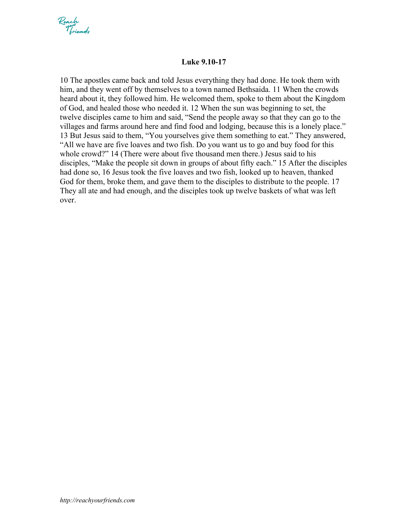

## **Luke 9.10-17**

10 The apostles came back and told Jesus everything they had done. He took them with him, and they went off by themselves to a town named Bethsaida. 11 When the crowds heard about it, they followed him. He welcomed them, spoke to them about the Kingdom of God, and healed those who needed it. 12 When the sun was beginning to set, the twelve disciples came to him and said, "Send the people away so that they can go to the villages and farms around here and find food and lodging, because this is a lonely place." 13 But Jesus said to them, "You yourselves give them something to eat." They answered, "All we have are five loaves and two fish. Do you want us to go and buy food for this whole crowd?" 14 (There were about five thousand men there.) Jesus said to his disciples, "Make the people sit down in groups of about fifty each." 15 After the disciples had done so, 16 Jesus took the five loaves and two fish, looked up to heaven, thanked God for them, broke them, and gave them to the disciples to distribute to the people. 17 They all ate and had enough, and the disciples took up twelve baskets of what was left over.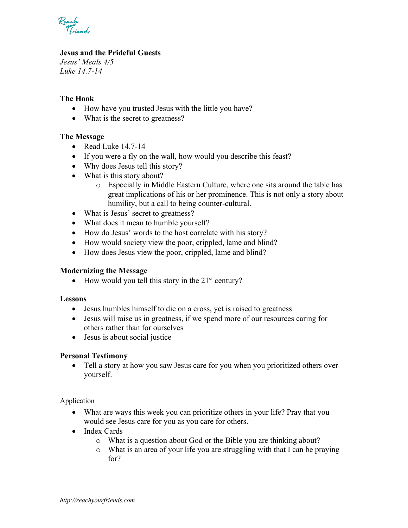

# **Jesus and the Prideful Guests**

*Jesus' Meals 4/5 Luke 14.7-14*

# **The Hook**

- How have you trusted Jesus with the little you have?
- What is the secret to greatness?

# **The Message**

- Read Luke 14.7-14
- If you were a fly on the wall, how would you describe this feast?
- Why does Jesus tell this story?
- What is this story about?
	- o Especially in Middle Eastern Culture, where one sits around the table has great implications of his or her prominence. This is not only a story about humility, but a call to being counter-cultural.
- What is Jesus' secret to greatness?
- What does it mean to humble yourself?
- How do Jesus' words to the host correlate with his story?
- How would society view the poor, crippled, lame and blind?
- How does Jesus view the poor, crippled, lame and blind?

#### **Modernizing the Message**

• How would you tell this story in the  $21<sup>st</sup>$  century?

#### **Lessons**

- Jesus humbles himself to die on a cross, yet is raised to greatness
- Jesus will raise us in greatness, if we spend more of our resources caring for others rather than for ourselves
- Jesus is about social justice

# **Personal Testimony**

• Tell a story at how you saw Jesus care for you when you prioritized others over yourself.

Application

- What are ways this week you can prioritize others in your life? Pray that you would see Jesus care for you as you care for others.
- Index Cards
	- o What is a question about God or the Bible you are thinking about?
	- o What is an area of your life you are struggling with that I can be praying for?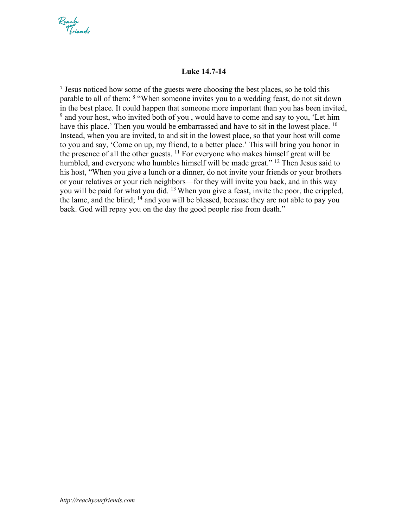

## **Luke 14.7-14**

 $<sup>7</sup>$  Jesus noticed how some of the guests were choosing the best places, so he told this</sup> parable to all of them: 8 "When someone invites you to a wedding feast, do not sit down in the best place. It could happen that someone more important than you has been invited,  $9$  and your host, who invited both of you, would have to come and say to you, 'Let him have this place.' Then you would be embarrassed and have to sit in the lowest place. <sup>10</sup> Instead, when you are invited, to and sit in the lowest place, so that your host will come to you and say, 'Come on up, my friend, to a better place.' This will bring you honor in the presence of all the other guests.  $^{11}$  For everyone who makes himself great will be humbled, and everyone who humbles himself will be made great." <sup>12</sup> Then Jesus said to his host, "When you give a lunch or a dinner, do not invite your friends or your brothers or your relatives or your rich neighbors—for they will invite you back, and in this way you will be paid for what you did. 13 When you give a feast, invite the poor, the crippled, the lame, and the blind; <sup>14</sup> and you will be blessed, because they are not able to pay you back. God will repay you on the day the good people rise from death."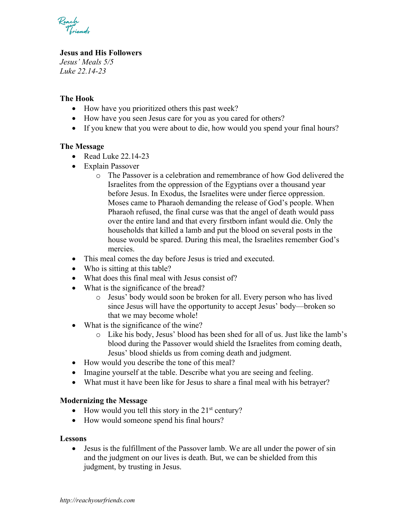Reach<br>Voicendr

# **Jesus and His Followers**

*Jesus' Meals 5/5 Luke 22.14-23*

# **The Hook**

- How have you prioritized others this past week?
- How have you seen Jesus care for you as you cared for others?
- If you knew that you were about to die, how would you spend your final hours?

# **The Message**

- Read Luke 22.14-23
- Explain Passover
	- o The Passover is a celebration and remembrance of how God delivered the Israelites from the oppression of the Egyptians over a thousand year before Jesus. In Exodus, the Israelites were under fierce oppression. Moses came to Pharaoh demanding the release of God's people. When Pharaoh refused, the final curse was that the angel of death would pass over the entire land and that every firstborn infant would die. Only the households that killed a lamb and put the blood on several posts in the house would be spared. During this meal, the Israelites remember God's mercies.
- This meal comes the day before Jesus is tried and executed.
- Who is sitting at this table?
- What does this final meal with Jesus consist of?
- What is the significance of the bread?
	- o Jesus' body would soon be broken for all. Every person who has lived since Jesus will have the opportunity to accept Jesus' body—broken so that we may become whole!
- What is the significance of the wine?
	- o Like his body, Jesus' blood has been shed for all of us. Just like the lamb's blood during the Passover would shield the Israelites from coming death, Jesus' blood shields us from coming death and judgment.
- How would you describe the tone of this meal?
- Imagine yourself at the table. Describe what you are seeing and feeling.
- What must it have been like for Jesus to share a final meal with his betrayer?

#### **Modernizing the Message**

- How would you tell this story in the  $21<sup>st</sup>$  century?
- How would someone spend his final hours?

#### **Lessons**

• Jesus is the fulfillment of the Passover lamb. We are all under the power of sin and the judgment on our lives is death. But, we can be shielded from this judgment, by trusting in Jesus.